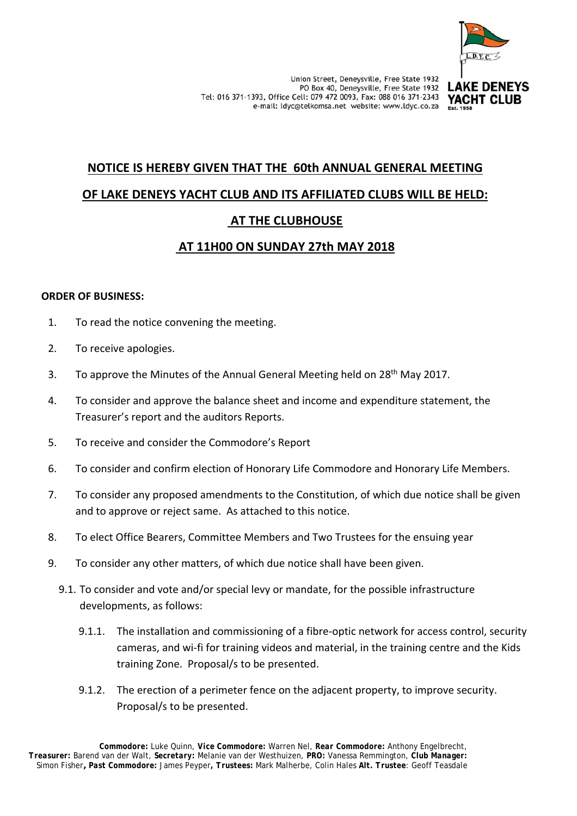

## **LAKE DENEYS** YACHT CLUB

# **NOTICE IS HEREBY GIVEN THAT THE 60th ANNUAL GENERAL MEETING OF LAKE DENEYS YACHT CLUB AND ITS AFFILIATED CLUBS WILL BE HELD: AT THE CLUBHOUSE**

# **AT 11H00 ON SUNDAY 27th MAY 2018**

## **ORDER OF BUSINESS:**

- 1. To read the notice convening the meeting.
- 2. To receive apologies.
- 3. To approve the Minutes of the Annual General Meeting held on 28<sup>th</sup> May 2017.
- 4. To consider and approve the balance sheet and income and expenditure statement, the Treasurer's report and the auditors Reports.
- 5. To receive and consider the Commodore's Report
- 6. To consider and confirm election of Honorary Life Commodore and Honorary Life Members.
- 7. To consider any proposed amendments to the Constitution, of which due notice shall be given and to approve or reject same. As attached to this notice.
- 8. To elect Office Bearers, Committee Members and Two Trustees for the ensuing year
- 9. To consider any other matters, of which due notice shall have been given.
	- 9.1. To consider and vote and/or special levy or mandate, for the possible infrastructure developments, as follows:
		- 9.1.1. The installation and commissioning of a fibre-optic network for access control, security cameras, and wi‐fi for training videos and material, in the training centre and the Kids training Zone. Proposal/s to be presented.
		- 9.1.2. The erection of a perimeter fence on the adjacent property, to improve security. Proposal/s to be presented.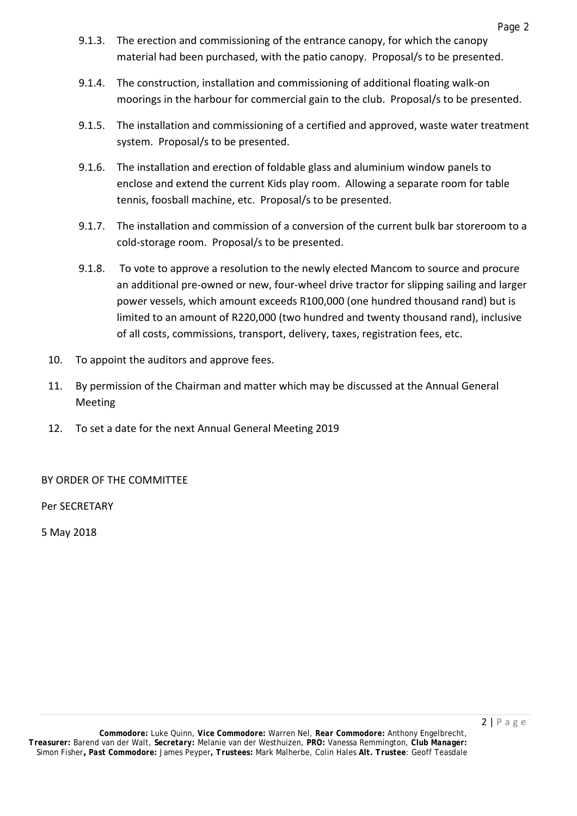- 9.1.3. The erection and commissioning of the entrance canopy, for which the canopy material had been purchased, with the patio canopy. Proposal/s to be presented.
- 9.1.4. The construction, installation and commissioning of additional floating walk‐on moorings in the harbour for commercial gain to the club. Proposal/s to be presented.
- 9.1.5. The installation and commissioning of a certified and approved, waste water treatment system. Proposal/s to be presented.
- 9.1.6. The installation and erection of foldable glass and aluminium window panels to enclose and extend the current Kids play room. Allowing a separate room for table tennis, foosball machine, etc. Proposal/s to be presented.
- 9.1.7. The installation and commission of a conversion of the current bulk bar storeroom to a cold‐storage room. Proposal/s to be presented.
- 9.1.8. To vote to approve a resolution to the newly elected Mancom to source and procure an additional pre-owned or new, four-wheel drive tractor for slipping sailing and larger power vessels, which amount exceeds R100,000 (one hundred thousand rand) but is limited to an amount of R220,000 (two hundred and twenty thousand rand), inclusive of all costs, commissions, transport, delivery, taxes, registration fees, etc.
- 10. To appoint the auditors and approve fees.
- 11. By permission of the Chairman and matter which may be discussed at the Annual General Meeting
- 12. To set a date for the next Annual General Meeting 2019

BY ORDER OF THE COMMITTEE

Per SECRETARY

5 May 2018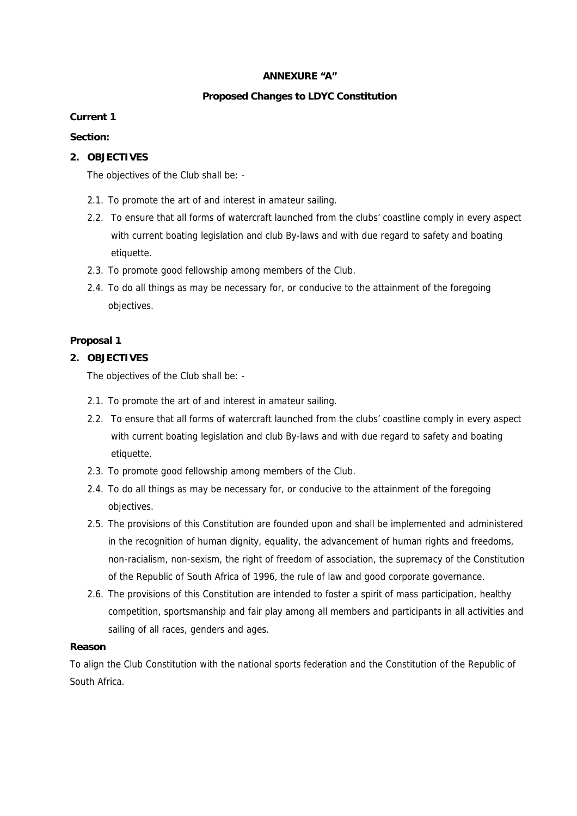#### **ANNEXURE "A"**

## **Proposed Changes to LDYC Constitution**

## **Current 1**

#### **Section:**

## **2. OBJECTIVES**

The objectives of the Club shall be: -

- 2.1. To promote the art of and interest in amateur sailing.
- 2.2. To ensure that all forms of watercraft launched from the clubs' coastline comply in every aspect with current boating legislation and club By-laws and with due regard to safety and boating etiquette.
- 2.3. To promote good fellowship among members of the Club.
- 2.4. To do all things as may be necessary for, or conducive to the attainment of the foregoing objectives.

## **Proposal 1**

## **2. OBJECTIVES**

The objectives of the Club shall be: -

- 2.1. To promote the art of and interest in amateur sailing.
- 2.2. To ensure that all forms of watercraft launched from the clubs' coastline comply in every aspect with current boating legislation and club By-laws and with due regard to safety and boating etiquette.
- 2.3. To promote good fellowship among members of the Club.
- 2.4. To do all things as may be necessary for, or conducive to the attainment of the foregoing objectives.
- 2.5. The provisions of this Constitution are founded upon and shall be implemented and administered in the recognition of human dignity, equality, the advancement of human rights and freedoms, non-racialism, non-sexism, the right of freedom of association, the supremacy of the Constitution of the Republic of South Africa of 1996, the rule of law and good corporate governance.
- 2.6. The provisions of this Constitution are intended to foster a spirit of mass participation, healthy competition, sportsmanship and fair play among all members and participants in all activities and sailing of all races, genders and ages.

#### **Reason**

To align the Club Constitution with the national sports federation and the Constitution of the Republic of South Africa.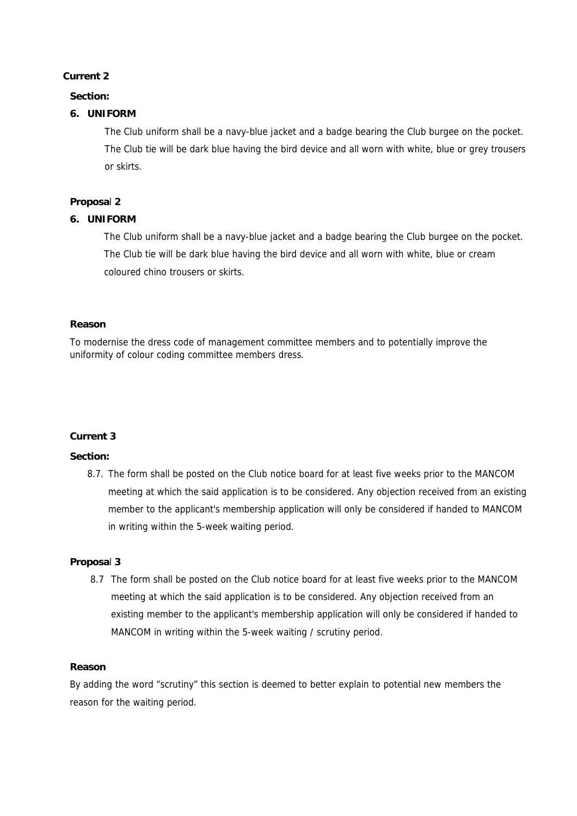## **Current 2**

## **Section:**

## **6. UNIFORM**

The Club uniform shall be a navy-blue jacket and a badge bearing the Club burgee on the pocket. The Club tie will be dark blue having the bird device and all worn with white, blue or grey trousers or skirts.

#### **Proposa**l **2**

#### **6. UNIFORM**

The Club uniform shall be a navy-blue jacket and a badge bearing the Club burgee on the pocket. The Club tie will be dark blue having the bird device and all worn with white, blue or cream coloured chino trousers or skirts.

#### **Reason**

To modernise the dress code of management committee members and to potentially improve the uniformity of colour coding committee members dress.

#### **Current 3**

#### **Section:**

8.7. The form shall be posted on the Club notice board for at least five weeks prior to the MANCOM meeting at which the said application is to be considered. Any objection received from an existing member to the applicant's membership application will only be considered if handed to MANCOM in writing within the 5-week waiting period.

#### **Proposa**l **3**

8.7 The form shall be posted on the Club notice board for at least five weeks prior to the MANCOM meeting at which the said application is to be considered. Any objection received from an existing member to the applicant's membership application will only be considered if handed to MANCOM in writing within the 5-week waiting / scrutiny period.

#### **Reason**

By adding the word "scrutiny" this section is deemed to better explain to potential new members the reason for the waiting period.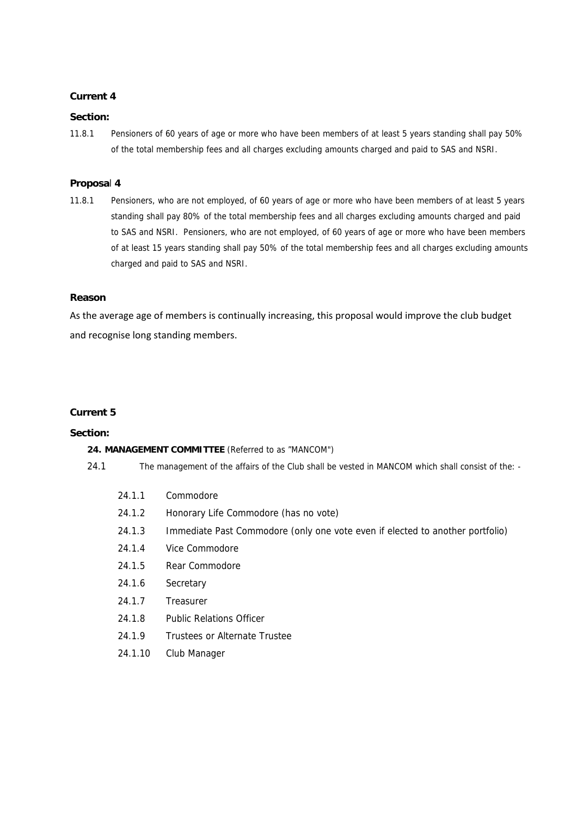#### **Current 4**

#### **Section:**

11.8.1 Pensioners of 60 years of age or more who have been members of at least 5 years standing shall pay 50% of the total membership fees and all charges excluding amounts charged and paid to SAS and NSRI.

#### **Proposa**l **4**

11.8.1 Pensioners, who are not employed, of 60 years of age or more who have been members of at least 5 years standing shall pay 80% of the total membership fees and all charges excluding amounts charged and paid to SAS and NSRI. Pensioners, who are not employed, of 60 years of age or more who have been members of at least 15 years standing shall pay 50% of the total membership fees and all charges excluding amounts charged and paid to SAS and NSRI.

#### **Reason**

As the average age of members is continually increasing, this proposal would improve the club budget and recognise long standing members.

## **Current 5**

#### **Section:**

#### **24. MANAGEMENT COMMITTEE** (Referred to as "MANCOM")

- 24.1 The management of the affairs of the Club shall be vested in MANCOM which shall consist of the:
	- 24.1.1 Commodore
	- 24.1.2 Honorary Life Commodore (has no vote)
	- 24.1.3 Immediate Past Commodore (only one vote even if elected to another portfolio)
	- 24.1.4 Vice Commodore
	- 24.1.5 Rear Commodore
	- 24.1.6 Secretary
	- 24.1.7 Treasurer
	- 24.1.8 Public Relations Officer
	- 24.1.9 Trustees or Alternate Trustee
	- 24.1.10 Club Manager